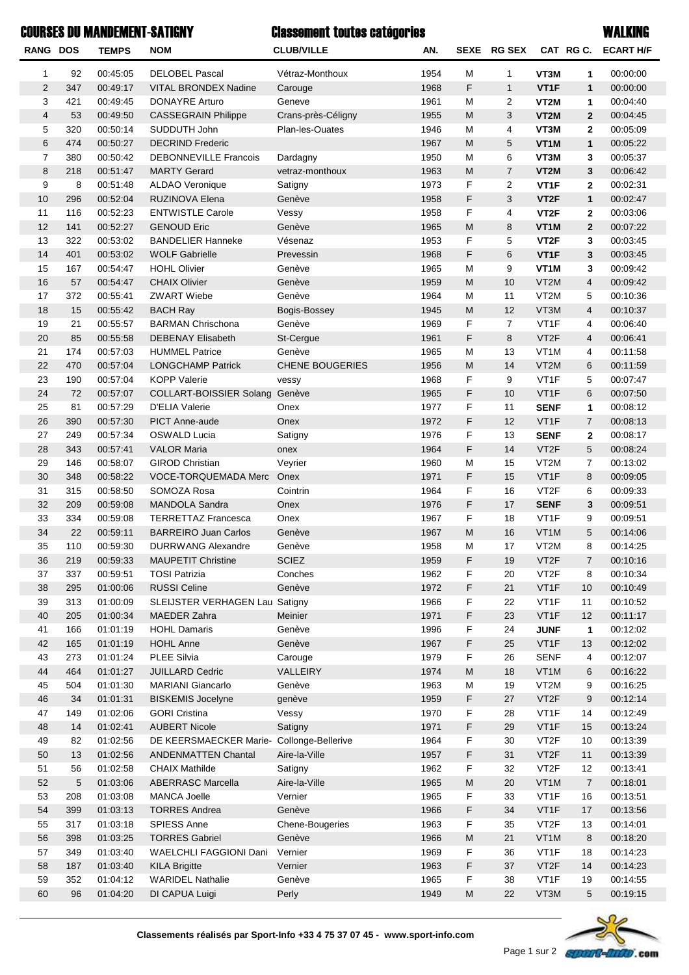## COURSES DU MANDEMENT-SATIGNY WALKING

## Classement toutes catégories

| RANG DOS       |            | <b>TEMPS</b>         | <b>NOM</b>                                     | <b>CLUB/VILLE</b>      | AN.          |                                                                                                            | SEXE RG SEX    |                                        |                | CAT RG C. ECART H/F  |
|----------------|------------|----------------------|------------------------------------------------|------------------------|--------------|------------------------------------------------------------------------------------------------------------|----------------|----------------------------------------|----------------|----------------------|
| 1              | 92         | 00:45:05             | <b>DELOBEL Pascal</b>                          | Vétraz-Monthoux        | 1954         | M                                                                                                          | 1              | VT3M                                   | 1              | 00:00:00             |
| 2              | 347        | 00:49:17             | <b>VITAL BRONDEX Nadine</b>                    | Carouge                | 1968         | F                                                                                                          | $\mathbf{1}$   | VT <sub>1</sub> F                      | $\mathbf{1}$   | 00:00:00             |
| 3              | 421        | 00:49:45             | <b>DONAYRE Arturo</b>                          | Geneve                 | 1961         | М                                                                                                          | 2              | VT2M                                   | 1              | 00:04:40             |
| 4              | 53         | 00:49:50             | <b>CASSEGRAIN Philippe</b>                     | Crans-près-Céligny     | 1955         | M                                                                                                          | 3              | VT2M                                   | $\overline{2}$ | 00:04:45             |
| 5              | 320        | 00:50:14             | SUDDUTH John                                   | Plan-les-Ouates        | 1946         | M                                                                                                          | 4              | VT3M                                   | $\mathbf{2}$   | 00:05:09             |
| 6              | 474        | 00:50:27             | <b>DECRIND Frederic</b>                        |                        | 1967         | M                                                                                                          | 5              | VT <sub>1</sub> M                      | 1              | 00:05:22             |
| $\overline{7}$ | 380        | 00:50:42             | <b>DEBONNEVILLE Francois</b>                   | Dardagny               | 1950         | M                                                                                                          | 6              | VT3M                                   | 3              | 00:05:37             |
| 8              | 218        | 00:51:47             | <b>MARTY Gerard</b>                            | vetraz-monthoux        | 1963         | M                                                                                                          | $\overline{7}$ | VT2M                                   | 3              | 00:06:42             |
| 9              | 8          | 00:51:48             | <b>ALDAO Veronique</b>                         | Satigny                | 1973         | F                                                                                                          | 2              | VT <sub>1</sub> F                      | $\mathbf{2}$   | 00:02:31             |
| 10             | 296        | 00:52:04             | RUZINOVA Elena                                 | Genève                 | 1958         | F                                                                                                          | 3              | VT <sub>2</sub> F                      | 1              | 00:02:47             |
| 11             | 116        | 00:52:23             | <b>ENTWISTLE Carole</b>                        | Vessy                  | 1958         | F                                                                                                          | 4              | VT <sub>2</sub> F                      | $\mathbf{2}$   | 00:03:06             |
| 12             | 141        | 00:52:27             | <b>GENOUD Eric</b>                             | Genève                 | 1965         | M                                                                                                          | 8              | VT <sub>1</sub> M                      | $\overline{2}$ | 00:07:22             |
| 13             | 322        | 00:53:02             | <b>BANDELIER Hanneke</b>                       | Vésenaz                | 1953         | F                                                                                                          | 5              | VT <sub>2</sub> F                      | 3              | 00:03:45             |
| 14             | 401        | 00:53:02             | <b>WOLF Gabrielle</b>                          | Prevessin              | 1968         | F                                                                                                          | 6              | VT <sub>1</sub> F                      | 3              | 00:03:45             |
| 15             | 167        | 00:54:47             | <b>HOHL Olivier</b>                            | Genève                 | 1965         | М                                                                                                          | 9              | VT <sub>1</sub> M                      | 3              | 00:09:42             |
| 16             | 57         | 00:54:47             | <b>CHAIX Olivier</b>                           | Genève                 | 1959         | M                                                                                                          | 10             | VT <sub>2</sub> M                      | $\overline{4}$ | 00:09:42             |
| 17             | 372        | 00:55:41             | <b>ZWART Wiebe</b>                             | Genève                 | 1964         | M                                                                                                          | 11             | VT <sub>2</sub> M                      | 5              | 00:10:36             |
| 18             | 15         | 00:55:42             | <b>BACH Ray</b>                                | Bogis-Bossey           | 1945         | M                                                                                                          | 12             | VT3M                                   | $\overline{4}$ | 00:10:37             |
| 19             | 21         | 00:55:57             | <b>BARMAN Chrischona</b>                       | Genève                 | 1969         | F                                                                                                          | $\overline{7}$ | VT <sub>1</sub> F                      | 4              | 00:06:40             |
| 20             | 85         | 00:55:58             | <b>DEBENAY Elisabeth</b>                       | St-Cergue              | 1961         | F                                                                                                          | 8              | VT <sub>2</sub> F                      | $\overline{4}$ | 00:06:41             |
| 21             | 174        | 00:57:03             | <b>HUMMEL Patrice</b>                          | Genève                 | 1965         | М                                                                                                          | 13             | VT <sub>1</sub> M                      | 4              | 00:11:58             |
| 22             | 470        | 00:57:04             | <b>LONGCHAMP Patrick</b>                       | <b>CHENE BOUGERIES</b> | 1956         | M                                                                                                          | 14             | VT <sub>2</sub> M                      | 6              | 00:11:59             |
| 23             | 190        | 00:57:04             | <b>KOPP Valerie</b>                            | vessy                  | 1968         | F                                                                                                          | 9              | VT <sub>1</sub> F                      | 5              | 00:07:47             |
| 24             | 72         | 00:57:07             | COLLART-BOISSIER Solang                        | Genève                 | 1965         | F                                                                                                          | 10             | VT1F                                   | 6              | 00:07:50             |
| 25             | 81         | 00:57:29             | D'ELIA Valerie                                 | Onex                   | 1977         | F                                                                                                          | 11             | <b>SENF</b>                            | 1              | 00:08:12             |
| 26             | 390        | 00:57:30             | <b>PICT Anne-aude</b>                          | Onex                   | 1972         | F                                                                                                          | 12             | VT <sub>1</sub> F                      | $\overline{7}$ | 00:08:13             |
| 27             | 249        | 00:57:34             | <b>OSWALD Lucia</b>                            | Satigny                | 1976         | F                                                                                                          | 13             | <b>SENF</b>                            | $\mathbf{2}$   | 00:08:17             |
| 28             | 343        | 00:57:41             | <b>VALOR Maria</b>                             | onex                   | 1964         | F                                                                                                          | 14             | VT <sub>2</sub> F                      | 5              | 00:08:24             |
| 29<br>30       | 146<br>348 | 00:58:07<br>00:58:22 | <b>GIROD Christian</b><br>VOCE-TORQUEMADA Merc | Veyrier                | 1960<br>1971 | М<br>F                                                                                                     | 15<br>15       | VT <sub>2</sub> M<br>VT <sub>1</sub> F | 7<br>8         | 00:13:02<br>00:09:05 |
| 31             | 315        | 00:58:50             | SOMOZA Rosa                                    | Onex<br>Cointrin       | 1964         | F                                                                                                          | 16             | VT <sub>2</sub> F                      | 6              | 00:09:33             |
| 32             | 209        | 00:59:08             | MANDOLA Sandra                                 | Onex                   | 1976         | F                                                                                                          | 17             | <b>SENF</b>                            | 3              | 00:09:51             |
| 33             | 334        | 00:59:08             | <b>TERRETTAZ Francesca</b>                     | Onex                   | 1967         | F                                                                                                          | 18             | VT <sub>1</sub> F                      | 9              | 00:09:51             |
| 34             | 22         | 00:59:11             | <b>BARREIRO Juan Carlos</b>                    | Genève                 | 1967         | M                                                                                                          | 16             | VT <sub>1</sub> M                      | 5              | 00:14:06             |
| 35             | 110        | 00:59:30             | <b>DURRWANG Alexandre</b>                      | Genève                 | 1958         | М                                                                                                          | 17             | VT <sub>2</sub> M                      | 8              | 00:14:25             |
| 36             | 219        | 00:59:33             | MAUPETIT Christine                             | <b>SCIEZ</b>           | 1959         | F                                                                                                          | 19             | VT <sub>2</sub> F                      | 7 <sup>7</sup> | 00:10:16             |
| 37             | 337        | 00:59:51             | <b>TOSI Patrizia</b>                           | Conches                | 1962         | F                                                                                                          | 20             | VT <sub>2</sub> F                      | 8              | 00:10:34             |
| 38             | 295        | 01:00:06             | <b>RUSSI Celine</b>                            | Genève                 | 1972         | F                                                                                                          | 21             | VT1F                                   | 10             | 00:10:49             |
| 39             | 313        | 01:00:09             | SLEIJSTER VERHAGEN Lau Satigny                 |                        | 1966         | F                                                                                                          | 22             | VT1F                                   | 11             | 00:10:52             |
| 40             | 205        | 01:00:34             | <b>MAEDER Zahra</b>                            | Meinier                | 1971         | F                                                                                                          | 23             | VT1F                                   | 12             | 00:11:17             |
| 41             | 166        | 01:01:19             | <b>HOHL Damaris</b>                            | Genève                 | 1996         | F                                                                                                          | 24             | <b>JUNF</b>                            | 1              | 00:12:02             |
| 42             | 165        | 01:01:19             | <b>HOHL Anne</b>                               | Genève                 | 1967         | F                                                                                                          | 25             | VT1F                                   | 13             | 00:12:02             |
| 43             | 273        | 01:01:24             | PLEE Silvia                                    | Carouge                | 1979         | F                                                                                                          | 26             | <b>SENF</b>                            | 4              | 00:12:07             |
| 44             | 464        | 01:01:27             | JUILLARD Cedric                                | VALLEIRY               | 1974         | ${\sf M}$                                                                                                  | 18             | VT1M                                   | 6              | 00:16:22             |
| 45             | 504        | 01:01:30             | MARIANI Giancarlo                              | Genève                 | 1963         | M                                                                                                          | 19             | VT2M                                   | 9              | 00:16:25             |
| 46             | 34         | 01:01:31             | <b>BISKEMIS Jocelyne</b>                       | genève                 | 1959         | F                                                                                                          | 27             | VT <sub>2</sub> F                      | 9              | 00:12:14             |
| 47             | 149        | 01:02:06             | <b>GORI Cristina</b>                           | Vessy                  | 1970         | F                                                                                                          | 28             | VT1F                                   | 14             | 00:12:49             |
| 48             | 14         | 01:02:41             | <b>AUBERT Nicole</b>                           | Satigny                | 1971         | F                                                                                                          | 29             | VT1F                                   | 15             | 00:13:24             |
| 49             | 82         | 01:02:56             | DE KEERSMAECKER Marie- Collonge-Bellerive      |                        | 1964         | F                                                                                                          | 30             | VT <sub>2</sub> F                      | 10             | 00:13:39             |
| $50\,$         | 13         | 01:02:56             | <b>ANDENMATTEN Chantal</b>                     | Aire-la-Ville          | 1957         | F                                                                                                          | 31             | VT <sub>2</sub> F                      | 11             | 00:13:39             |
| 51             | 56         | 01:02:58             | <b>CHAIX Mathilde</b>                          | Satigny                | 1962         | F                                                                                                          | 32             | VT <sub>2</sub> F                      | 12             | 00:13:41             |
| 52             | 5          | 01:03:06             | <b>ABERRASC Marcella</b>                       | Aire-la-Ville          | 1965         | M                                                                                                          | 20             | VT1M                                   | $\sqrt{7}$     | 00:18:01             |
| 53             | 208        | 01:03:08             | <b>MANCA Joelle</b>                            | Vernier                | 1965         | F                                                                                                          | 33             | VT1F                                   | 16             | 00:13:51             |
| 54             | 399        | 01:03:13             | <b>TORRES Andrea</b>                           | Genève                 | 1966         | F                                                                                                          | 34             | VT1F                                   | 17             | 00:13:56             |
| 55             | 317        | 01:03:18             | SPIESS Anne                                    | Chene-Bougeries        | 1963         | F                                                                                                          | 35             | VT <sub>2</sub> F                      | 13             | 00:14:01             |
| 56             | 398        | 01:03:25             | <b>TORRES Gabriel</b>                          | Genève                 | 1966         | ${\sf M}$                                                                                                  | 21             | VT1M                                   | $\,8\,$        | 00:18:20             |
| 57             | 349        | 01:03:40             | WAELCHLI FAGGIONI Dani                         | Vernier                | 1969         | F                                                                                                          | 36             | VT1F                                   | 18             | 00:14:23             |
| 58             | 187        | 01:03:40             | <b>KILA Brigitte</b>                           | Vernier                | 1963         | F                                                                                                          | 37             | VT <sub>2</sub> F                      | 14             | 00:14:23             |
| 59             | 352        | 01:04:12             | <b>WARIDEL Nathalie</b>                        | Genève                 | 1965         | F                                                                                                          | 38             | VT1F                                   | 19             | 00:14:55             |
| 60             | 96         | 01:04:20             | DI CAPUA Luigi                                 | Perly                  | 1949         | $\mathsf{M}% _{T}=\mathsf{M}_{T}\!\left( a,b\right) ,\ \mathsf{M}_{T}=\mathsf{M}_{T}\!\left( a,b\right) ,$ | 22             | VT3M                                   | $\sqrt{5}$     | 00:19:15             |